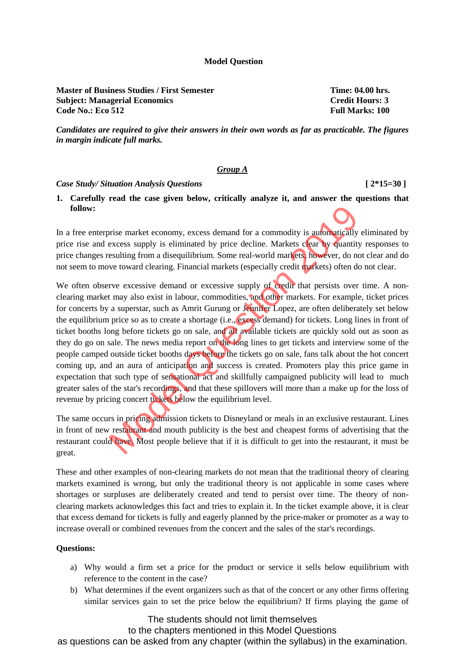#### **Model Question**

**Master of Business Studies / First Semester Time: 04.00 hrs. Subject: Managerial Economics Credit Hours: 3 Code No.: Eco 512 Full Marks: 100**

*Candidates are required to give their answers in their own words as far as practicable. The figures in margin indicate full marks.*

#### *Group A*

#### *Case Study/ Situation Analysis Questions* **[ 2\*15=30 ]**

**1. Carefully read the case given below, critically analyze it, and answer the questions that follow:**

In a free enterprise market economy, excess demand for a commodity is automatically eliminated by price rise and excess supply is eliminated by price decline. Markets clear by quantity responses to price changes resulting from a disequilibrium. Some real-world markets, however, do not clear and do not seem to move toward clearing. Financial markets (especially credit markets) often do not clear.

We often observe excessive demand or excessive supply of credit that persists over time. A nonclearing market may also exist in labour, commodities, and other markets. For example, ticket prices for concerts by a superstar, such as Amrit Gurung or Jennifer Lopez, are often deliberately set below the equilibrium price so as to create a shortage (i.e., excess demand) for tickets. Long lines in front of ticket booths long before tickets go on sale, and all available tickets are quickly sold out as soon as they do go on sale. The news media report on the long lines to get tickets and interview some of the people camped outside ticket booths days before the tickets go on sale, fans talk about the hot concert coming up, and an aura of anticipation and success is created. Promoters play this price game in expectation that such type of sensational act and skillfully campaigned publicity will lead to much greater sales of the star's recordings, and that these spillovers will more than a make up for the loss of revenue by pricing concert tickets below the equilibrium level. brise market economy, excess demand for a commodity is automatically excess supply is eliminated by price decline. Markets clear by quantity eventy develocing from a disequilibrium. Some real-world markets lowever, do not

The same occurs in pricing admission tickets to Disneyland or meals in an exclusive restaurant. Lines in front of new restaurant and mouth publicity is the best and cheapest forms of advertising that the restaurant could have. Most people believe that if it is difficult to get into the restaurant, it must be great.

These and other examples of non-clearing markets do not mean that the traditional theory of clearing markets examined is wrong, but only the traditional theory is not applicable in some cases where shortages or surpluses are deliberately created and tend to persist over time. The theory of non clearing markets acknowledges this fact and tries to explain it. In the ticket example above, it is clear that excess demand for tickets is fully and eagerly planned by the price-maker or promoter as a way to increase overall or combined revenues from the concert and the sales of the star's recordings.

#### **Questions:**

- a) Why would a firm set a price for the product or service it sells below equilibrium with reference to the content in the case?
- b) What determines if the event organizers such as that of the concert or any other firms offering similar services gain to set the price below the equilibrium? If firms playing the game of

# The students should not limit themselves

to the chapters mentioned in this Model Questions

as questions can be asked from any chapter (within the syllabus) in the examination.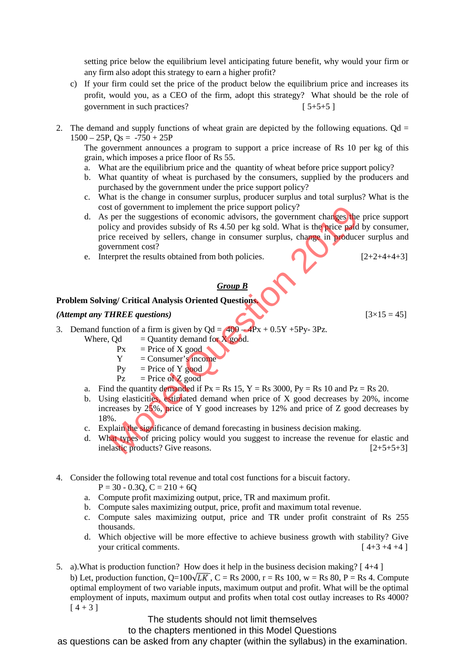setting price below the equilibrium level anticipating future benefit, why would your firm or any firm also adopt this strategy to earn a higher profit?

- c) If your firm could set the price of the product below the equilibrium price and increases its profit, would you, as a CEO of the firm, adopt this strategy? What should be the role of government in such practices? [ 5+5+5 ]
- 2. The demand and supply functions of wheat grain are depicted by the following equations. Od  $=$  $1500 - 25P$ ,  $Os = -750 + 25P$

The government announces a program to support a price increase of Rs 10 per kg of this grain, which imposes a price floor of Rs 55.

- a. What are the equilibrium price and the quantity of wheat before price support policy?
- b. What quantity of wheat is purchased by the consumers, supplied by the producers and purchased by the government under the price support policy?
- c. What is the change in consumer surplus, producer surplus and total surplus? What is the cost of government to implement the price support policy?
- d. As per the suggestions of economic advisors, the government changes the price support policy and provides subsidy of Rs 4.50 per kg sold. What is the price paid by consumer, price received by sellers, change in consumer surplus, change in producer surplus and government cost? of government to implement the price support policy?<br>
lever the suggestions of economic achiency and provides subsidy of Rs 4.50 per kg sold. What is the price paral<br>
ce received by sellers, change in consumer surplus, ch

e. Interpret the results obtained from both policies.  $[2+2+4+4+3]$ 

# *Group B*

#### **Problem Solving/ Critical Analysis Oriented Questions.**

#### $(Attempt any **THREE** questions)$  [ $3 \times 15 = 45$ ]

3. Demand function of a firm is given by  $Qd = 400 - 4Px + 0.5Y + 5Py - 3Pz$ .

- Where,  $Qd =$  Quantity demand for  $X$  good.
	- $Px = Price of X good$
	- $Y =$  Consumer's income
	- $Py = Price of Y good$
	- $Pz = Price of Z good$
- a. Find the quantity demanded if  $Px = Rs 15$ ,  $Y = Rs 3000$ ,  $Py = Rs 10$  and  $Pz = Rs 20$ .
- b. Using elasticities, estimated demand when price of X good decreases by 20%, income increases by 25%, price of Y good increases by 12% and price of Z good decreases by 18%.
- c. Explain the significance of demand forecasting in business decision making.
- d. What types of pricing policy would you suggest to increase the revenue for elastic and inelastic products? Give reasons. [2+5+5+3]
- 4. Consider the following total revenue and total cost functions for a biscuit factory.

 $P = 30 - 0.3Q$ ,  $C = 210 + 6Q$ 

- a. Compute profit maximizing output, price, TR and maximum profit.
- b. Compute sales maximizing output, price, profit and maximum total revenue.
- c. Compute sales maximizing output, price and TR under profit constraint of Rs 255 thousands.
- d. Which objective will be more effective to achieve business growth with stability? Give your critical comments.  $[4+3+4+4]$
- 5. a).What is production function? How does it help in the business decision making? [ 4+4 ] b) Let, production function,  $Q=100\sqrt{LK}$ ,  $C = Rs 2000$ ,  $r = Rs 100$ ,  $w = Rs 80$ ,  $P = Rs 4$ . Compute optimal employment of two variable inputs, maximum output and profit. What will be the optimal employment of inputs, maximum output and profits when total cost outlay increases to Rs 4000?  $[4 + 3]$

The students should not limit themselves

## to the chapters mentioned in this Model Questions

as questions can be asked from any chapter (within the syllabus) in the examination.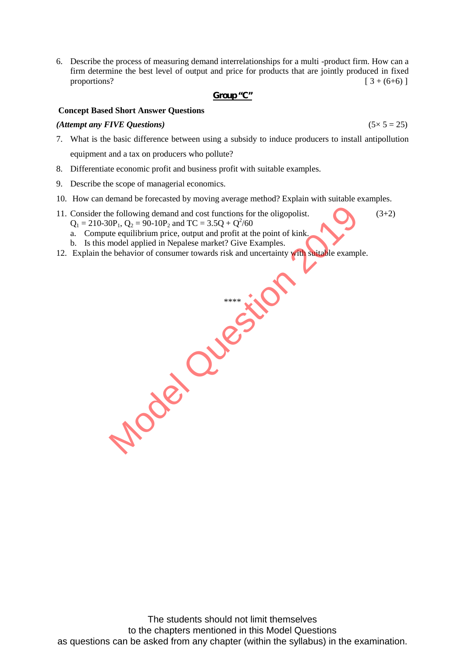6. Describe the process of measuring demand interrelationships for a multi -product firm. How can a firm determine the best level of output and price for products that are jointly produced in fixed proportions?  $[3 + (6+6)]$ 

#### *Group "C"*

#### **Concept Based Short Answer Questions**

#### *(Attempt any FIVE Questions)*  $(5 \times 5 = 25)$

- 7. What is the basic difference between using a subsidy to induce producers to install antipollution equipment and a tax on producers who pollute?
- 8. Differentiate economic profit and business profit with suitable examples.
- 9. Describe the scope of managerial economics.
- 10. How can demand be forecasted by moving average method? Explain with suitable examples.
- 11. Consider the following demand and cost functions for the oligopolist. (3+2)  $Q_1 = 210-30P_1$ ,  $Q_2 = 90-10P_2$  and TC = 3.5Q + Q<sup>2</sup>/60
	- a. Compute equilibrium price, output and profit at the point of kink.
	- b. Is this model applied in Nepalese market? Give Examples.
- 12. Explain the behavior of consumer towards risk and uncertainty with suitable example. Model Question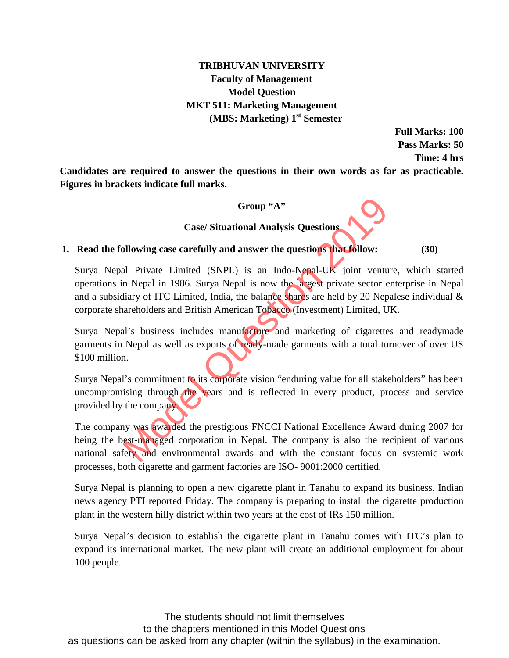# **TRIBHUVAN UNIVERSITY Faculty of Management Model Question MKT 511: Marketing Management (MBS: Marketing) 1 st Semester**

**Full Marks: 100 Pass Marks: 50 Time: 4 hrs**

**Candidates are required to answer the questions in their own words as far as practicable. Figures in brackets indicate full marks.**

**Group "A"**

**Case/ Situational Analysis Questions**

# **1. Read the following case carefully and answer the questions that follow: (30)**

Surya Nepal Private Limited (SNPL) is an Indo-Nepal-UK joint venture, which started operations in Nepal in 1986. Surya Nepal is now the largest private sector enterprise in Nepal and a subsidiary of ITC Limited, India, the balance shares are held by 20 Nepalese individual  $\&$ corporate shareholders and British American Tobacco (Investment) Limited, UK. Group "A"<br>Case/ Situational Analysis Questions<br>
case/ Situational Analysis Questions<br>
all Private Limited (SNPL) is an Indo-Nepal-UK joint venture<br>
in Nepal in 1986. Surya Nepal is now the largest private sector en<br>
iliary

Surya Nepal's business includes manufacture and marketing of cigarettes and readymade garments in Nepal as well as exports of ready-made garments with a total turnover of over US \$100 million.

Surya Nepal's commitment to its corporate vision "enduring value for all stakeholders" has been uncompromising through the years and is reflected in every product, process and service provided by the company.

The company was awarded the prestigious FNCCI National Excellence Award during 2007 for being the best-managed corporation in Nepal. The company is also the recipient of various national safety and environmental awards and with the constant focus on systemic work processes, both cigarette and garment factories are ISO- 9001:2000 certified.

Surya Nepal is planning to open a new cigarette plant in Tanahu to expand its business, Indian news agency PTI reported Friday. The company is preparing to install the cigarette production plant in the western hilly district within two years at the cost of IRs 150 million.

Surya Nepal's decision to establish the cigarette plant in Tanahu comes with ITC's plan to expand its international market. The new plant will create an additional employment for about 100 people.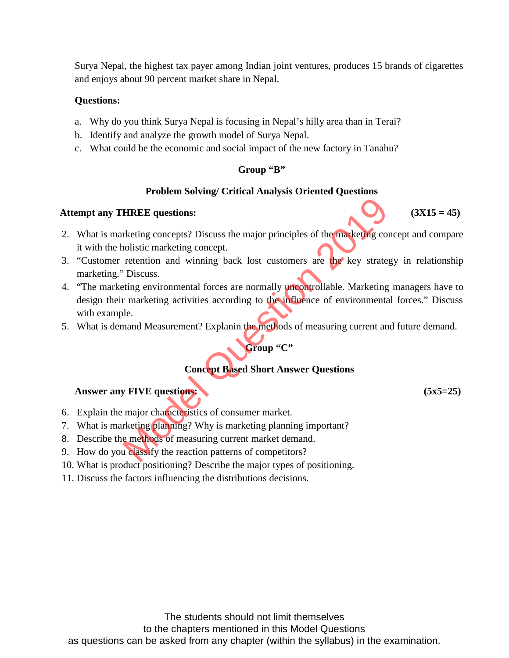Surya Nepal, the highest tax payer among Indian joint ventures, produces 15 brands of cigarettes and enjoys about 90 percent market share in Nepal.

# **Questions:**

- a. Why do you think Surya Nepal is focusing in Nepal's hilly area than in Terai?
- b. Identify and analyze the growth model of Surya Nepal.
- c. What could be the economic and social impact of the new factory in Tanahu?

# **Group "B"**

# **Problem Solving/ Critical Analysis Oriented Questions**

# Attempt any THREE questions: **(3X15** = 45)

- 2. What is marketing concepts? Discuss the major principles of the marketing concept and compare it with the holistic marketing concept.
- 3. "Customer retention and winning back lost customers are the key strategy in relationship marketing." Discuss.
- 4. "The marketing environmental forces are normally uncontrollable. Marketing managers have to design their marketing activities according to the influence of environmental forces." Discuss with example. HREE questions:<br>
The process of the marketing conceptors of the marketing conception<br>
This customers are horizonton and winning back lost customers are the key strategy<br>
This cuss.<br>
This cuss.<br>
Eting environmental forces a
- 5. What is demand Measurement? Explanin the methods of measuring current and future demand.

# **Group "C" Concept Based Short Answer Questions**

# **Answer any FIVE questions: (5x5=25)**

- 6. Explain the major characteristics of consumer market.
- 7. What is marketing planning? Why is marketing planning important?
- 8. Describe the methods of measuring current market demand.
- 9. How do you classify the reaction patterns of competitors?
- 10. What is product positioning? Describe the major types of positioning.
- 11. Discuss the factors influencing the distributions decisions.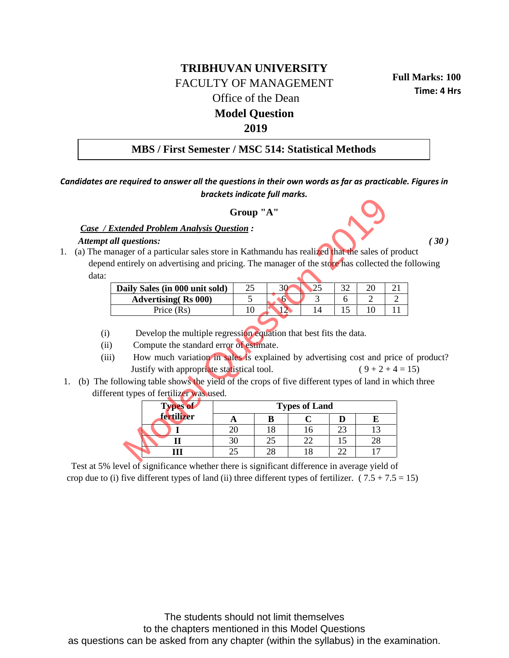# **TRIBHUVAN UNIVERSITY** FACULTY OF MANAGEMENT Office of the Dean **Model Question 2019**

# **MBS / First Semester / MSC 514: Statistical Methods**

*Candidates are required to answer all the questions in their own words as far as practicable. Figures in brackets indicate full marks.*

#### **Group "A"**

# *Case / Extended Problem Analysis Question :*

#### *Attempt all questions:*  $(30)$

1. (a) The manager of a particular sales store in Kathmandu has realized that the sales of product depend entirely on advertising and pricing. The manager of the store has collected the following data:

| Daily Sales (in 000 unit sold) | ىك |    | ت |  |  |
|--------------------------------|----|----|---|--|--|
| <b>Advertising</b> (Rs 000)    |    | ּ״ |   |  |  |
| Price (Rs)                     |    |    |   |  |  |

- (i) Develop the multiple regression equation that best fits the data.
- (ii) Compute the standard error of estimate.
- (iii) How much variation in sales is explained by advertising cost and price of product? Justify with appropriate statistical tool.  $(9 + 2 + 4 = 15)$
- 1. (b) The following table shows the yield of the crops of five different types of land in which three different types of fertilizer was used.

| Group "A"                                                                             |                      |                 |    |    |                |                |  |  |  |  |
|---------------------------------------------------------------------------------------|----------------------|-----------------|----|----|----------------|----------------|--|--|--|--|
| <u>ended Problem Analysis Question:</u>                                               |                      |                 |    |    |                |                |  |  |  |  |
| questions:                                                                            |                      |                 |    |    |                |                |  |  |  |  |
| ager of a particular sales store in Kathmandu has realized that the sales of product  |                      |                 |    |    |                |                |  |  |  |  |
| ntirely on advertising and pricing. The manager of the store has collected the follow |                      |                 |    |    |                |                |  |  |  |  |
|                                                                                       |                      |                 |    |    |                |                |  |  |  |  |
| aily Sales (in 000 unit sold)                                                         | 25                   | 30              | 25 | 32 | 20             | 21             |  |  |  |  |
| <b>Advertising</b> (Rs 000)                                                           | 5                    | 6               | 3  | 6  | $\overline{2}$ | $\overline{2}$ |  |  |  |  |
| Price (Rs)                                                                            | 10                   | 12 <sub>2</sub> | 14 | 15 | 10             | 11             |  |  |  |  |
|                                                                                       |                      |                 |    |    |                |                |  |  |  |  |
| Develop the multiple regression equation that best fits the data.                     |                      |                 |    |    |                |                |  |  |  |  |
| Compute the standard error of estimate.                                               |                      |                 |    |    |                |                |  |  |  |  |
| How much variation in sales is explained by advertising cost and price of pr          |                      |                 |    |    |                |                |  |  |  |  |
| $(9 + 2 + 4 = 15)$<br>Justify with appropriate statistical tool.                      |                      |                 |    |    |                |                |  |  |  |  |
| lowing table shows the yield of the crops of five different types of land in which th |                      |                 |    |    |                |                |  |  |  |  |
| t types of fertilizer was used.                                                       |                      |                 |    |    |                |                |  |  |  |  |
| <b>Types of</b>                                                                       | <b>Types of Land</b> |                 |    |    |                |                |  |  |  |  |
| fertilizer                                                                            | A                    | B               | C  | D  | E              |                |  |  |  |  |
| I                                                                                     | 20                   | 18              | 16 | 23 | 13             |                |  |  |  |  |
| $\mathbf H$                                                                           | 30                   | 25              | 22 | 15 | 28             |                |  |  |  |  |
| Ш                                                                                     | 25                   | 28              | 18 | 22 | 17             |                |  |  |  |  |
|                                                                                       |                      |                 |    |    |                |                |  |  |  |  |

Test at 5% level of significance whether there is significant difference in average yield of crop due to (i) five different types of land (ii) three different types of fertilizer.  $(7.5 + 7.5 = 15)$ 

**Full Marks: 100 Time: 4 Hrs**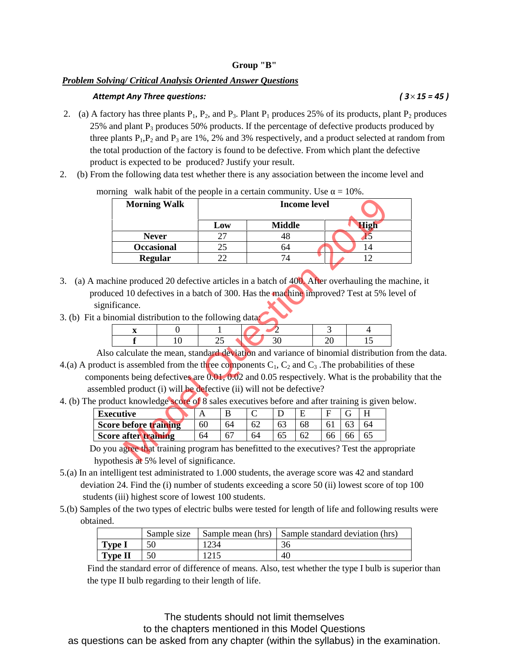### **Group "B"**

### *Problem Solving/ Critical Analysis Oriented Answer Questions*

#### *Attempt Any Three questions: ( 315 = 45 )*

2. (a) A factory has three plants  $P_1$ ,  $P_2$ , and  $P_3$ . Plant  $P_1$  produces 25% of its products, plant  $P_2$  produces

- 25% and plant P<sub>3</sub> produces 50% products. If the percentage of defective products produced by three plants  $P_1$ ,  $P_2$  and  $P_3$  are 1%, 2% and 3% respectively, and a product selected at random from the total production of the factory is found to be defective. From which plant the defective product is expected to be produced? Justify your result.
- 2. (b) From the following data test whether there is any association between the income level and

| <b>Morning Walk</b>                                                                                                                                                                                                                 | <b>Income level</b> |    |              |    |               |    |    |    |             |  |
|-------------------------------------------------------------------------------------------------------------------------------------------------------------------------------------------------------------------------------------|---------------------|----|--------------|----|---------------|----|----|----|-------------|--|
|                                                                                                                                                                                                                                     |                     |    | Low          |    | <b>Middle</b> |    |    |    | <b>High</b> |  |
| <b>Never</b>                                                                                                                                                                                                                        |                     |    | 27           |    | 48            |    |    |    | 15          |  |
| <b>Occasional</b>                                                                                                                                                                                                                   |                     |    | 25           |    | 64            |    |    |    | 14          |  |
| <b>Regular</b>                                                                                                                                                                                                                      |                     |    | 22           |    | 74            |    |    |    | 12          |  |
| hine produced 20 defective articles in a batch of 400. After overhauling the machin<br>ced 10 defectives in a batch of 300. Has the machine improved? Test at 5% level of<br>ficance.<br>nomial distribution to the following data. |                     |    |              |    |               |    |    |    |             |  |
| X                                                                                                                                                                                                                                   | 0                   |    |              |    |               |    | 3  |    | 4           |  |
| f                                                                                                                                                                                                                                   | 10                  | 25 |              |    | 30            |    | 20 |    | 15          |  |
| o calculate the mean, standard deviation and variance of binomial distribution from                                                                                                                                                 |                     |    |              |    |               |    |    |    |             |  |
| is assembled from the three components $C_1$ , $C_2$ and $C_3$ . The probabilities of these                                                                                                                                         |                     |    |              |    |               |    |    |    |             |  |
| nents being defectives are $0.01, 0.02$ and 0.05 respectively. What is the probability                                                                                                                                              |                     |    |              |    |               |    |    |    |             |  |
| bled product (i) will be defective (ii) will not be defective?                                                                                                                                                                      |                     |    |              |    |               |    |    |    |             |  |
| duct knowledge score of 8 sales executives before and after training is given below                                                                                                                                                 |                     |    |              |    |               |    |    |    |             |  |
| cutive                                                                                                                                                                                                                              |                     | A  | <sub>B</sub> | C  | D             | E  | F  | G  | H           |  |
| re before training                                                                                                                                                                                                                  |                     | 60 | 64           | 62 | 63            | 68 | 61 | 63 | 64          |  |
| re after training                                                                                                                                                                                                                   |                     | 64 | 67           | 64 | 65            | 62 | 66 | 66 | 65          |  |
| u agree that training program has benefitted to the executives? Test the appropriate                                                                                                                                                |                     |    |              |    |               |    |    |    |             |  |
| thesis at 5% level of significance                                                                                                                                                                                                  |                     |    |              |    |               |    |    |    |             |  |

morning walk habit of the people in a certain community. Use  $= 10\%$ .

- 3. (a) A machine produced 20 defective articles in a batch of 400. After overhauling the machine, it produced 10 defectives in a batch of 300. Has the machine improved? Test at 5% level of significance.
- 3. (b) Fit a binomial distribution to the following data:

Also calculate the mean, standard deviation and variance of binomial distribution from the data.

- 4.(a) A product is assembled from the three components  $C_1$ ,  $C_2$  and  $C_3$ . The probabilities of these components being defectives are 0.01, 0.02 and 0.05 respectively. What is the probability that the assembled product (i) will be defective (ii) will not be defective?
- 4. (b) The product knowledge score of 8 sales executives before and after training is given below.

| <b>Executive</b>             |    |    |    |    |    |    |  |
|------------------------------|----|----|----|----|----|----|--|
| <b>Score before training</b> |    | 64 | UΖ | 68 | 61 |    |  |
| <b>Score after training</b>  | 64 |    |    | 62 | 66 | 66 |  |

Do you agree that training program has benefitted to the executives? Test the appropriate hypothesis at 5% level of significance.

- 5.(a) In an intelligent test administrated to 1.000 students, the average score was 42 and standard deviation 24. Find the (i) number of students exceeding a score 50 (ii) lowest score of top 100 students (iii) highest score of lowest 100 students.
- 5.(b) Samples of the two types of electric bulbs were tested for length of life and following results were obtained.

|                | Sample size | Sample mean (hrs) | Sample standard deviation (hrs) |
|----------------|-------------|-------------------|---------------------------------|
| <b>Type I</b>  |             |                   | 36                              |
| <b>Type II</b> |             |                   | 40                              |

Find the standard error of difference of means. Also, test whether the type I bulb is superior than the type II bulb regarding to their length of life.

The students should not limit themselves to the chapters mentioned in this Model Questions as questions can be asked from any chapter (within the syllabus) in the examination.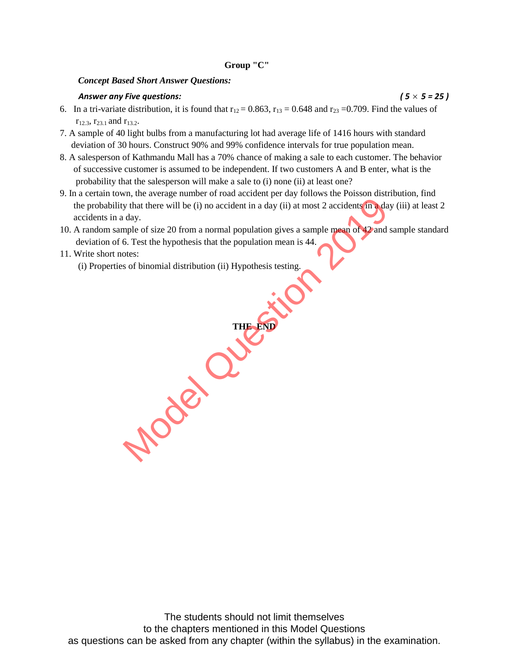#### **Group "C"**

#### *Concept Based Short Answer Questions:*

#### *Answer any Five questions: ( 5 5 = 25 )*

- 6. In a tri-variate distribution, it is found that  $r_{12} = 0.863$ ,  $r_{13} = 0.648$  and  $r_{23} = 0.709$ . Find the values of  $r_{12.3}$ ,  $r_{23.1}$  and  $r_{13.2}$ .
- 7. A sample of 40 light bulbs from a manufacturing lot had average life of 1416 hours with standard deviation of 30 hours. Construct 90% and 99% confidence intervals for true population mean.
- 8. A salesperson of Kathmandu Mall has a 70% chance of making a sale to each customer. The behavior of successive customer is assumed to be independent. If two customers A and B enter, what is the probability that the salesperson will make a sale to (i) none (ii) at least one?
- 9. In a certain town, the average number of road accident per day follows the Poisson distribution, find the probability that there will be (i) no accident in a day (ii) at most 2 accidents in a day (iii) at least 2 accidents in a day.
- 10. A random sample of size 20 from a normal population gives a sample mean of 42 and sample standard deviation of 6. Test the hypothesis that the population mean is 44.
- 11. Write short notes:
	- (i) Properties of binomial distribution (ii) Hypothesis testing.

**The Endamn Current**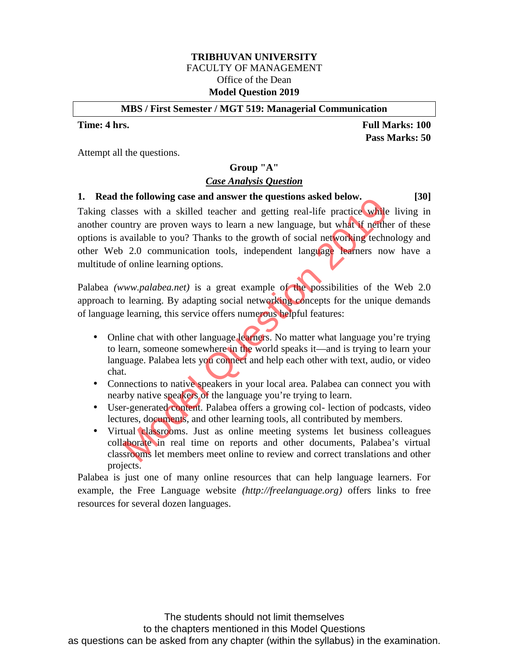# **TRIBHUVAN UNIVERSITY** FACULTY OF MANAGEMENT Office of the Dean **Model Question 2019**

**MBS / First Semester / MGT 519: Managerial Communication**

**Time: 4 hrs. Full Marks: 100 Pass Marks: 50**

Attempt all the questions.

# **Group "A"** *Case Analysis Question*

#### **1. Read the following case and answer the questions asked below. [30]**

Taking classes with a skilled teacher and getting real-life practice while living in another country are proven ways to learn a new language, but what if neither of these options is available to you? Thanks to the growth of social networking technology and other Web 2.0 communication tools, independent language learners now have a multitude of online learning options. the content and answer in questions asked below.<br>
Sees with a skilled teacher and getting real-life practice while l<br>
muntry are proven ways to learn a new language, but what if netther<br>
available to you? Thanks to the gro

Palabea *(www.palabea.net)* is a great example of the possibilities of the Web 2.0 approach to learning. By adapting social networking concepts for the unique demands of language learning, this service offers numerous helpful features:

- Online chat with other language learners. No matter what language you're trying to learn, someone somewhere in the world speaks it—and is trying to learn your language. Palabea lets you connect and help each other with text, audio, or video chat.
- Connections to native speakers in your local area. Palabea can connect you with nearby native speakers of the language you're trying to learn.
- User-generated content. Palabea offers a growing col- lection of podcasts, video lectures, documents, and other learning tools, all contributed by members.
- Virtual classrooms. Just as online meeting systems let business colleagues collaborate in real time on reports and other documents, Palabea's virtual classrooms let members meet online to review and correct translations and other projects.

Palabea is just one of many online resources that can help language learners. For example, the Free Language website *(http://freelanguage.org)* offers links to free resources for several dozen languages.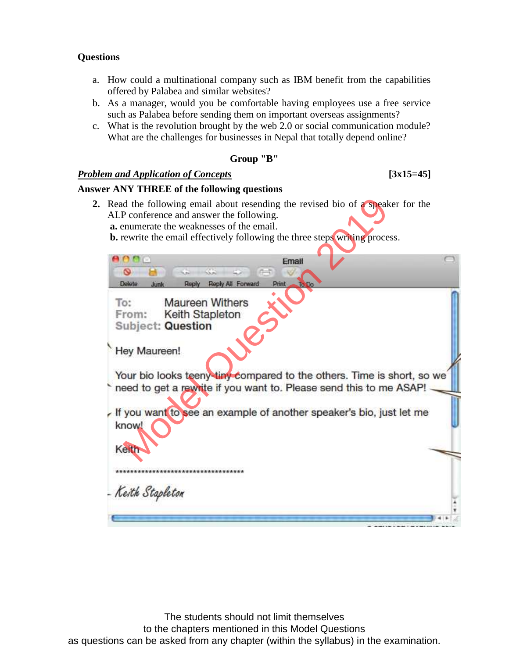# **Questions**

- a. How could a multinational company such as IBM benefit from the capabilities offered by Palabea and similar websites?
- b. As a manager, would you be comfortable having employees use a free service such as Palabea before sending them on important overseas assignments?
- c. What is the revolution brought by the web 2.0 or social communication module? What are the challenges for businesses in Nepal that totally depend online?

# **Group "B"**

# *Problem and Application of Concepts last example 13x15=45]*

# **Answer ANY THREE of the following questions**

| ALP conference and answer the following.<br><b>a.</b> enumerate the weaknesses of the email.<br><b>b.</b> rewrite the email effectively following the three steps writing process. | Read the following email about resending the revised bio of a speaker for the |
|------------------------------------------------------------------------------------------------------------------------------------------------------------------------------------|-------------------------------------------------------------------------------|
| 8886                                                                                                                                                                               | Email                                                                         |
| 652<br>O<br><b>SCALE</b>                                                                                                                                                           | $0 - 7$                                                                       |
| Delete<br>Reply All Forward<br>Reply<br>Junk                                                                                                                                       | <b>Print</b><br>. In Co                                                       |
| <b>Maureen Withers</b><br>To:<br>Keith Stapleton<br>From:<br><b>Subject: Question</b>                                                                                              |                                                                               |
| Hey Maureen!                                                                                                                                                                       |                                                                               |
|                                                                                                                                                                                    | Your bio looks teeny tiny compared to the others. Time is short, so we        |
|                                                                                                                                                                                    | need to get a rewrite if you want to. Please send this to me ASAP!            |
| know                                                                                                                                                                               | If you want to see an example of another speaker's bio, just let me           |
| Keith                                                                                                                                                                              |                                                                               |
|                                                                                                                                                                                    |                                                                               |
| - Keith Stapleton                                                                                                                                                                  |                                                                               |
|                                                                                                                                                                                    |                                                                               |
|                                                                                                                                                                                    |                                                                               |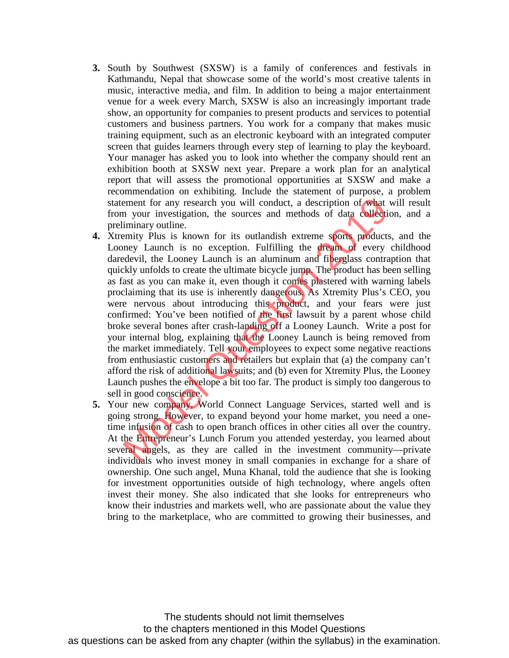- **3.** South by Southwest (SXSW) is a family of conferences and festivals in Kathmandu, Nepal that showcase some of the world's most creative talents in music, interactive media, and film. In addition to being a major entertainment venue for a week every March, SXSW is also an increasingly important trade show, an opportunity for companies to present products and services to potential customers and business partners. You work for a company that makes music training equipment, such as an electronic keyboard with an integrated computer screen that guides learners through every step of learning to play the keyboard. Your manager has asked you to look into whether the company should rent an exhibition booth at SXSW next year. Prepare a work plan for an analytical report that will assess the promotional opportunities at SXSW and make a recommendation on exhibiting. Include the statement of purpose, a problem statement for any research you will conduct, a description of what will result from your investigation, the sources and methods of data collection, and a preliminary outline.
- **4.** Xtremity Plus is known for its outlandish extreme sports products, and the Looney Launch is no exception. Fulfilling the dream of every childhood daredevil, the Looney Launch is an aluminum and fiberglass contraption that quickly unfolds to create the ultimate bicycle jump. The product has been selling as fast as you can make it, even though it comes plastered with warning labels proclaiming that its use is inherently dangerous. As Xtremity Plus's CEO, you were nervous about introducing this product, and your fears were just confirmed: You've been notified of the first lawsuit by a parent whose child broke several bones after crash-landing off a Looney Launch. Write a post for your internal blog, explaining that the Looney Launch is being removed from the market immediately. Tell your employees to expect some negative reactions from enthusiastic customers and retailers but explain that (a) the company can't afford the risk of additional lawsuits; and (b) even for Xtremity Plus, the Looney Launch pushes the envelope a bit too far. The product is simply too dangerous to sell in good conscience. ement for any research you will conduct, a description of **what** w<br>m your investigation, the sources and methods of data **collection**<br>iminy outline.<br>Eminy putile.<br>Imminy putiles known for its outlandish extreme sports prod
- **5.** Your new company, World Connect Language Services, started well and is going strong. However, to expand beyond your home market, you need a onetime infusion of cash to open branch offices in other cities all over the country. At the Entrepreneur's Lunch Forum you attended yesterday, you learned about several angels, as they are called in the investment community—private individuals who invest money in small companies in exchange for a share of ownership. One such angel, Muna Khanal, told the audience that she is looking for investment opportunities outside of high technology, where angels often invest their money. She also indicated that she looks for entrepreneurs who know their industries and markets well, who are passionate about the value they bring to the marketplace, who are committed to growing their businesses, and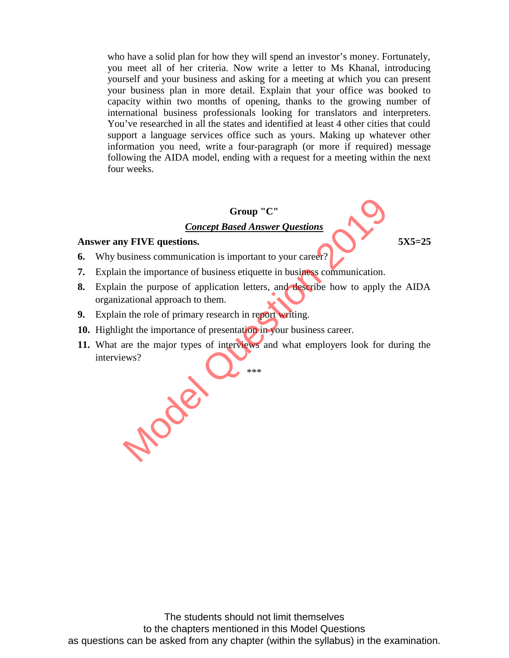who have a solid plan for how they will spend an investor's money. Fortunately, you meet all of her criteria. Now write a letter to Ms Khanal, introducing yourself and your business and asking for a meeting at which you can present your business plan in more detail. Explain that your office was booked to capacity within two months of opening, thanks to the growing number of international business professionals looking for translators and interpreters. You've researched in all the states and identified at least 4 other cities that could support a language services office such as yours. Making up whatever other information you need, write a four-paragraph (or more if required) message following the AIDA model, ending with a request for a meeting within the next four weeks.

# **Group "C"** *Concept Based Answer Questions*

#### **Answer any FIVE questions.** 5X5=25

- **6.** Why business communication is important to your career?
- **7.** Explain the importance of business etiquette in business communication.
- **8.** Explain the purpose of application letters, and describe how to apply the AIDA organizational approach to them. Group "C"<br>
Concept Based Answer Questions<br>
usiness communication is important to your career?<br>
In the importance of business etiquette in business communication.<br>
In the purpose of application letters, and describe how to
- **9.** Explain the role of primary research in report writing.
- **10.** Highlight the importance of presentation in your business career.
- **11.** What are the major types of interviews and what employers look for during the interviews?

The students should not limit themselves to the chapters mentioned in this Model Questions as questions can be asked from any chapter (within the syllabus) in the examination.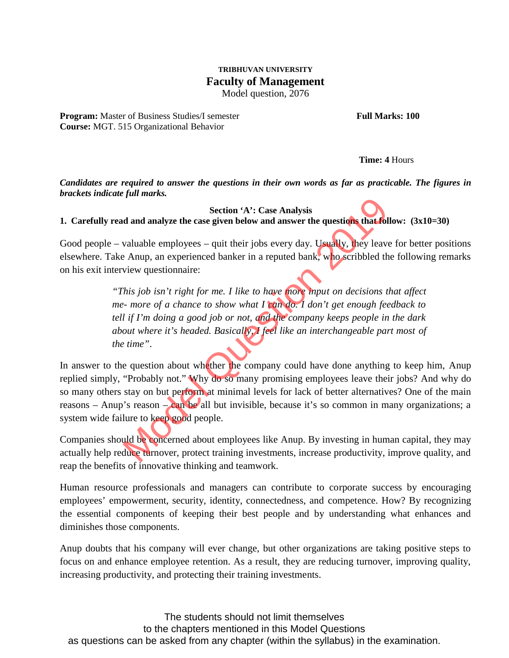# **TRIBHUVAN UNIVERSITY Faculty of Management** Model question, 2076

**Program:** Master of Business Studies/I semester **Full Marks: 100 Course:** MGT. 515 Organizational Behavior

**Time: 4** Hours

*Candidates are required to answer the questions in their own words as far as practicable. The figures in brackets indicate full marks.*

**Section 'A': Case Analysis 1. Carefully read and analyze the case given below and answer the questions that follow: (3x10=30)**

Good people – valuable employees – quit their jobs every day. Usually, they leave for better positions elsewhere. Take Anup, an experienced banker in a reputed bank, who scribbled the following remarks on his exit interview questionnaire:

*"This job isn't right for me. I like to have more input on decisions that affect me- more of a chance to show what I can do. I don't get enough feedback to tell if I'm doing a good job or not, and the company keeps people in the dark about where it's headed. Basically, I feel like an interchangeable part most of the time"*. Section 'A': Case Analysis<br>
Mand analyze the case given below and answer the questions that follo<br>
valuable employees – quit their jobs every day. Usually, they leave<br>
2019 Analyze Papu, an experienced banker in a reputed

In answer to the question about whether the company could have done anything to keep him, Anup replied simply, "Probably not." Why do so many promising employees leave their jobs? And why do so many others stay on but perform at minimal levels for lack of better alternatives? One of the main reasons – Anup's reason – can be all but invisible, because it's so common in many organizations; a system wide failure to keep good people.

Companies should be concerned about employees like Anup. By investing in human capital, they may actually help reduce turnover, protect training investments, increase productivity, improve quality, and reap the benefits of innovative thinking and teamwork.

Human resource professionals and managers can contribute to corporate success by encouraging employees' empowerment, security, identity, connectedness, and competence. How? By recognizing the essential components of keeping their best people and by understanding what enhances and diminishes those components.

Anup doubts that his company will ever change, but other organizations are taking positive steps to focus on and enhance employee retention. As a result, they are reducing turnover, improving quality, increasing productivity, and protecting their training investments.

The students should not limit themselves to the chapters mentioned in this Model Questions as questions can be asked from any chapter (within the syllabus) in the examination.